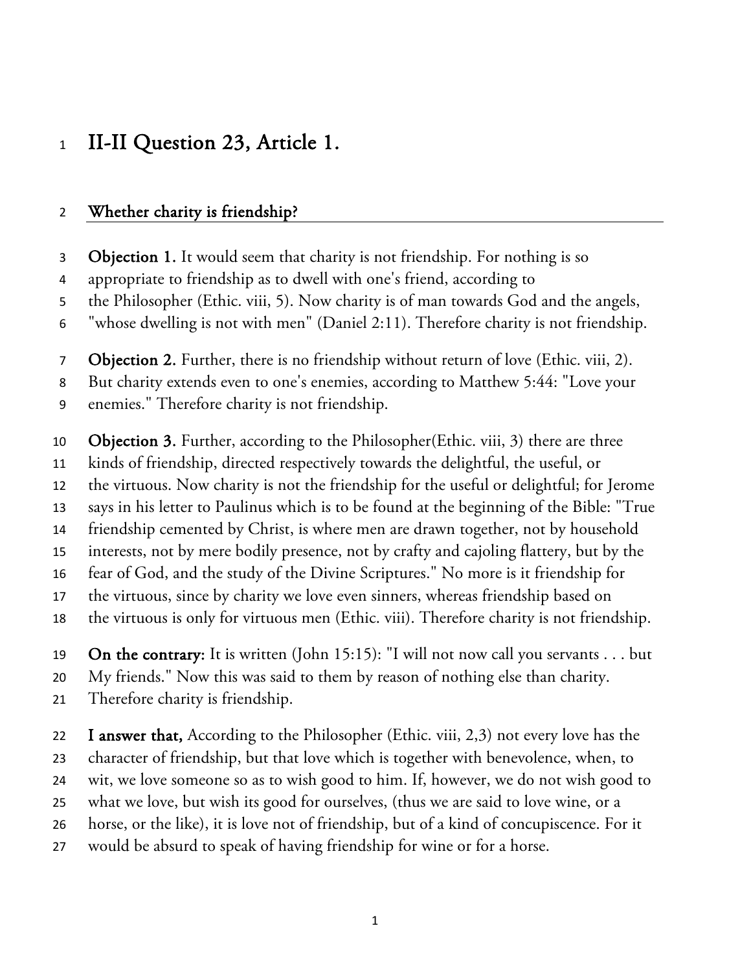## II-II Question 23, Article 1.

### Whether charity is friendship?

Objection 1. It would seem that charity is not friendship. For nothing is so

appropriate to friendship as to dwell with one's friend, according to

the Philosopher (Ethic. viii, 5). Now charity is of man towards God and the angels,

"whose dwelling is not with men" (Daniel 2:11). Therefore charity is not friendship.

Objection 2. Further, there is no friendship without return of love (Ethic. viii, 2).

But charity extends even to one's enemies, according to Matthew 5:44: "Love your

enemies." Therefore charity is not friendship.

Objection 3. Further, according to the Philosopher(Ethic. viii, 3) there are three

- kinds of friendship, directed respectively towards the delightful, the useful, or
- the virtuous. Now charity is not the friendship for the useful or delightful; for Jerome
- says in his letter to Paulinus which is to be found at the beginning of the Bible: "True
- friendship cemented by Christ, is where men are drawn together, not by household
- interests, not by mere bodily presence, not by crafty and cajoling flattery, but by the
- fear of God, and the study of the Divine Scriptures." No more is it friendship for
- the virtuous, since by charity we love even sinners, whereas friendship based on
- the virtuous is only for virtuous men (Ethic. viii). Therefore charity is not friendship.

19 On the contrary: It is written (John 15:15): "I will not now call you servants  $\dots$  but

My friends." Now this was said to them by reason of nothing else than charity.

Therefore charity is friendship.

22 I answer that, According to the Philosopher (Ethic. viii,  $2,3$ ) not every love has the character of friendship, but that love which is together with benevolence, when, to wit, we love someone so as to wish good to him. If, however, we do not wish good to what we love, but wish its good for ourselves, (thus we are said to love wine, or a horse, or the like), it is love not of friendship, but of a kind of concupiscence. For it

would be absurd to speak of having friendship for wine or for a horse.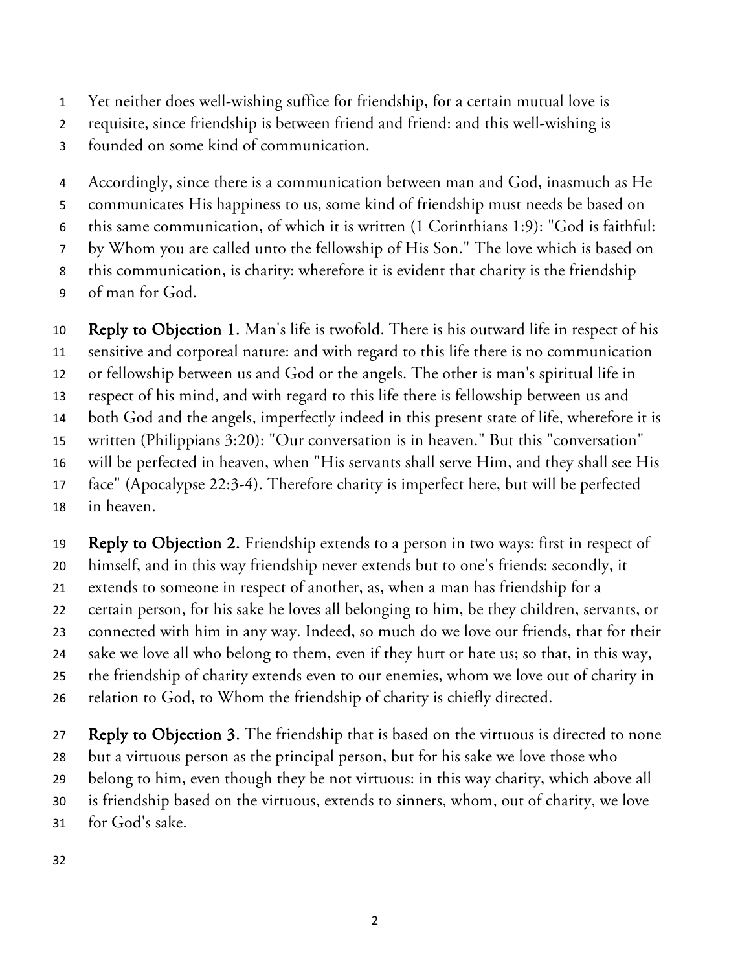- Yet neither does well-wishing suffice for friendship, for a certain mutual love is
- requisite, since friendship is between friend and friend: and this well-wishing is
- founded on some kind of communication.

 Accordingly, since there is a communication between man and God, inasmuch as He communicates His happiness to us, some kind of friendship must needs be based on this same communication, of which it is written (1 Corinthians 1:9): "God is faithful: by Whom you are called unto the fellowship of His Son." The love which is based on this communication, is charity: wherefore it is evident that charity is the friendship of man for God.

 Reply to Objection 1. Man's life is twofold. There is his outward life in respect of his sensitive and corporeal nature: and with regard to this life there is no communication or fellowship between us and God or the angels. The other is man's spiritual life in respect of his mind, and with regard to this life there is fellowship between us and both God and the angels, imperfectly indeed in this present state of life, wherefore it is written (Philippians 3:20): "Our conversation is in heaven." But this "conversation" will be perfected in heaven, when "His servants shall serve Him, and they shall see His face" (Apocalypse 22:3-4). Therefore charity is imperfect here, but will be perfected in heaven.

19 Reply to Objection 2. Friendship extends to a person in two ways: first in respect of himself, and in this way friendship never extends but to one's friends: secondly, it extends to someone in respect of another, as, when a man has friendship for a certain person, for his sake he loves all belonging to him, be they children, servants, or connected with him in any way. Indeed, so much do we love our friends, that for their sake we love all who belong to them, even if they hurt or hate us; so that, in this way, the friendship of charity extends even to our enemies, whom we love out of charity in relation to God, to Whom the friendship of charity is chiefly directed.

27 Reply to Objection 3. The friendship that is based on the virtuous is directed to none but a virtuous person as the principal person, but for his sake we love those who belong to him, even though they be not virtuous: in this way charity, which above all is friendship based on the virtuous, extends to sinners, whom, out of charity, we love for God's sake.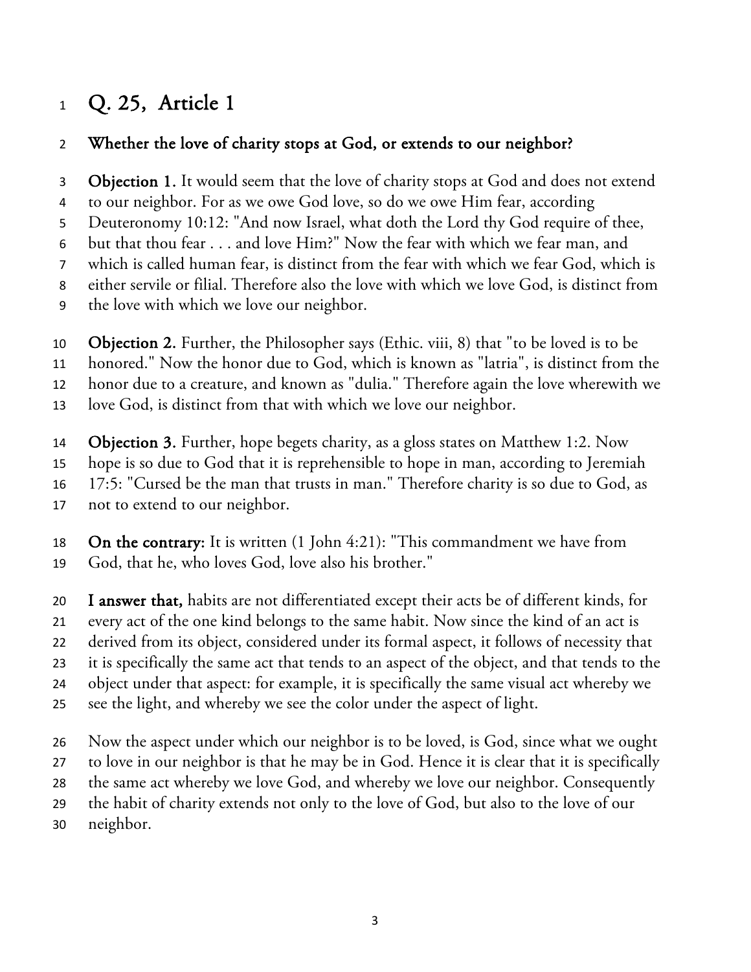# Q. 25, Article 1

## 2 Whether the love of charity stops at God, or extends to our neighbor?

**Objection 1.** It would seem that the love of charity stops at God and does not extend to our neighbor. For as we owe God love, so do we owe Him fear, according Deuteronomy 10:12: "And now Israel, what doth the Lord thy God require of thee, but that thou fear . . . and love Him?" Now the fear with which we fear man, and which is called human fear, is distinct from the fear with which we fear God, which is either servile or filial. Therefore also the love with which we love God, is distinct from

the love with which we love our neighbor.

 Objection 2. Further, the Philosopher says (Ethic. viii, 8) that "to be loved is to be honored." Now the honor due to God, which is known as "latria", is distinct from the

honor due to a creature, and known as "dulia." Therefore again the love wherewith we

love God, is distinct from that with which we love our neighbor.

Objection 3. Further, hope begets charity, as a gloss states on Matthew 1:2. Now

hope is so due to God that it is reprehensible to hope in man, according to Jeremiah

17:5: "Cursed be the man that trusts in man." Therefore charity is so due to God, as

not to extend to our neighbor.

18 On the contrary: It is written (1 John 4:21): "This commandment we have from God, that he, who loves God, love also his brother."

20 I answer that, habits are not differentiated except their acts be of different kinds, for every act of the one kind belongs to the same habit. Now since the kind of an act is

 derived from its object, considered under its formal aspect, it follows of necessity that it is specifically the same act that tends to an aspect of the object, and that tends to the

object under that aspect: for example, it is specifically the same visual act whereby we

- see the light, and whereby we see the color under the aspect of light.
- Now the aspect under which our neighbor is to be loved, is God, since what we ought
- to love in our neighbor is that he may be in God. Hence it is clear that it is specifically
- the same act whereby we love God, and whereby we love our neighbor. Consequently
- the habit of charity extends not only to the love of God, but also to the love of our
- neighbor.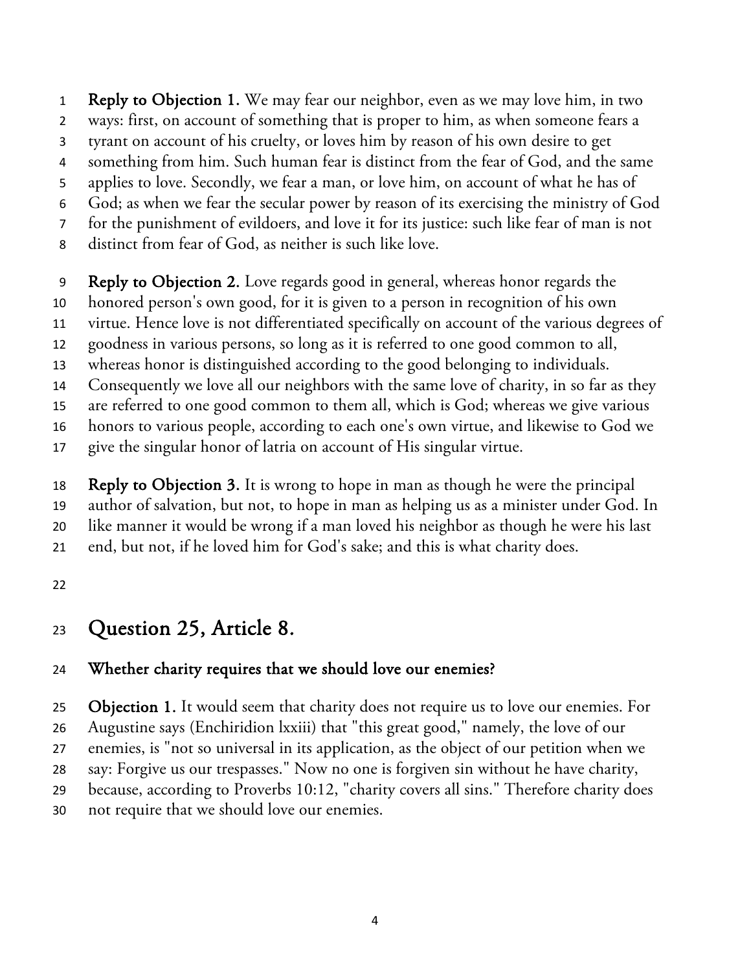1 Reply to Objection 1. We may fear our neighbor, even as we may love him, in two

- ways: first, on account of something that is proper to him, as when someone fears a
- tyrant on account of his cruelty, or loves him by reason of his own desire to get
- something from him. Such human fear is distinct from the fear of God, and the same
- applies to love. Secondly, we fear a man, or love him, on account of what he has of
- God; as when we fear the secular power by reason of its exercising the ministry of God
- for the punishment of evildoers, and love it for its justice: such like fear of man is not
- distinct from fear of God, as neither is such like love.

Reply to Objection 2. Love regards good in general, whereas honor regards the

- honored person's own good, for it is given to a person in recognition of his own
- virtue. Hence love is not differentiated specifically on account of the various degrees of
- goodness in various persons, so long as it is referred to one good common to all,
- whereas honor is distinguished according to the good belonging to individuals.
- Consequently we love all our neighbors with the same love of charity, in so far as they
- are referred to one good common to them all, which is God; whereas we give various
- honors to various people, according to each one's own virtue, and likewise to God we
- give the singular honor of latria on account of His singular virtue.

Reply to Objection 3. It is wrong to hope in man as though he were the principal

- author of salvation, but not, to hope in man as helping us as a minister under God. In like manner it would be wrong if a man loved his neighbor as though he were his last
- end, but not, if he loved him for God's sake; and this is what charity does.
- 

# Question 25, Article 8.

### Whether charity requires that we should love our enemies?

25 Objection 1. It would seem that charity does not require us to love our enemies. For

Augustine says (Enchiridion lxxiii) that "this great good," namely, the love of our

enemies, is "not so universal in its application, as the object of our petition when we

say: Forgive us our trespasses." Now no one is forgiven sin without he have charity,

- because, according to Proverbs 10:12, "charity covers all sins." Therefore charity does
- not require that we should love our enemies.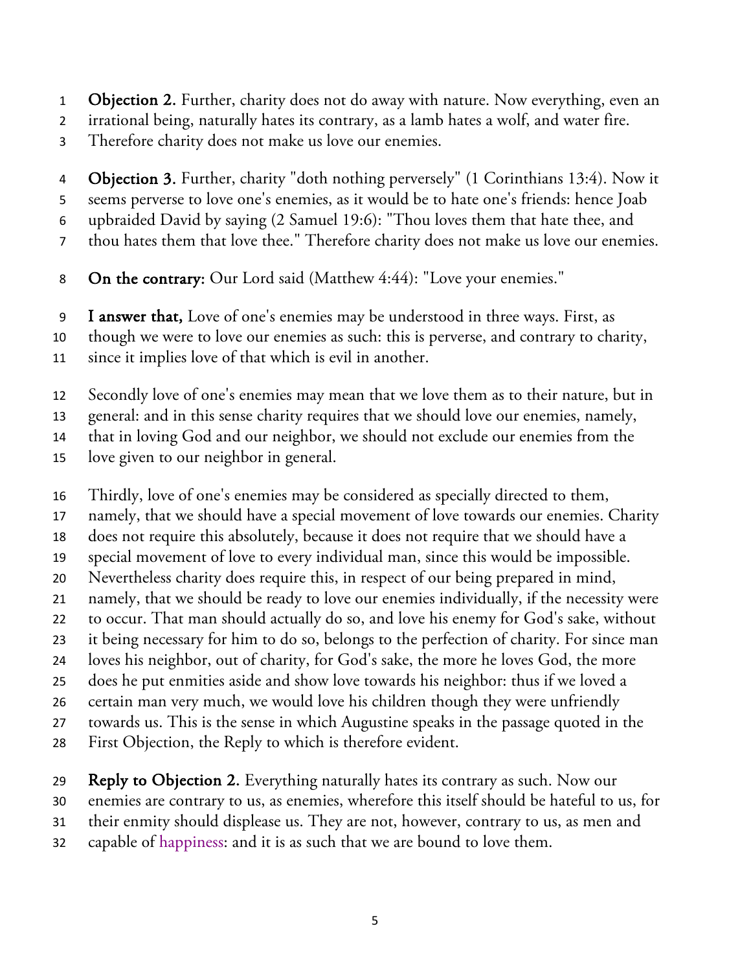- **Objection 2.** Further, charity does not do away with nature. Now everything, even an
- irrational being, naturally hates its contrary, as a lamb hates a wolf, and water fire.
- Therefore charity does not make us love our enemies.
- Objection 3. Further, charity "doth nothing perversely" (1 Corinthians 13:4). Now it
- seems perverse to love one's enemies, as it would be to hate one's friends: hence Joab
- upbraided David by saying (2 Samuel 19:6): "Thou loves them that hate thee, and
- thou hates them that love thee." Therefore charity does not make us love our enemies.
- 8 On the contrary: Our Lord said (Matthew 4:44): "Love your enemies."
- I answer that, Love of one's enemies may be understood in three ways. First, as
- though we were to love our enemies as such: this is perverse, and contrary to charity,
- since it implies love of that which is evil in another.
- Secondly love of one's enemies may mean that we love them as to their nature, but in
- general: and in this sense charity requires that we should love our enemies, namely,
- that in loving God and our neighbor, we should not exclude our enemies from the
- love given to our neighbor in general.
- Thirdly, love of one's enemies may be considered as specially directed to them,
- namely, that we should have a special movement of love towards our enemies. Charity
- does not require this absolutely, because it does not require that we should have a
- special movement of love to every individual man, since this would be impossible.
- Nevertheless charity does require this, in respect of our being prepared in mind,
- namely, that we should be ready to love our enemies individually, if the necessity were
- to occur. That man should actually do so, and love his enemy for God's sake, without
- it being necessary for him to do so, belongs to the perfection of charity. For since man
- loves his neighbor, out of charity, for God's sake, the more he loves God, the more
- does he put enmities aside and show love towards his neighbor: thus if we loved a certain man very much, we would love his children though they were unfriendly
- towards us. This is the sense in which Augustine speaks in the passage quoted in the
- First Objection, the Reply to which is therefore evident.
- 
- 29 Reply to Objection 2. Everything naturally hates its contrary as such. Now our
- enemies are contrary to us, as enemies, wherefore this itself should be hateful to us, for
- their enmity should displease us. They are not, however, contrary to us, as men and
- capable of happiness: and it is as such that we are bound to love them.